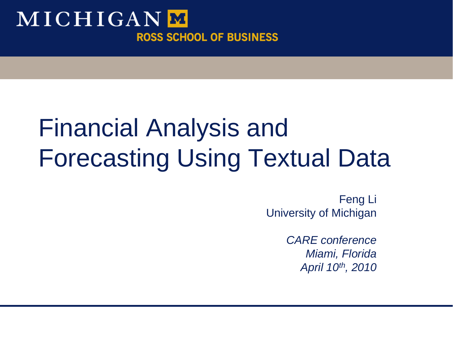

# Financial Analysis and Forecasting Using Textual Data

Feng Li University of Michigan

> *CARE conference Miami, Florida April 10th, 2010*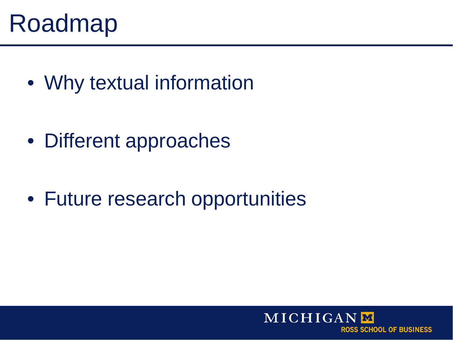#### Roadmap

• Why textual information

• Different approaches

• Future research opportunities

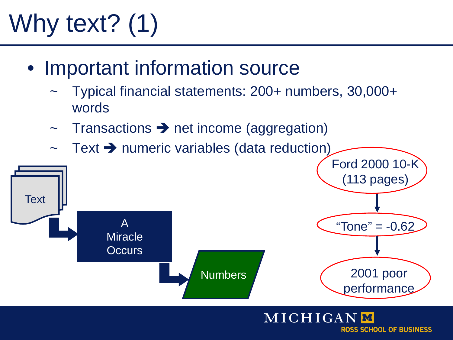# Why text? (1)

- Important information source
	- ~ Typical financial statements: 200+ numbers, 30,000+ words
	- $\sim$  Transactions  $\rightarrow$  net income (aggregation)
	- Text  $\rightarrow$  numeric variables (data reduction)

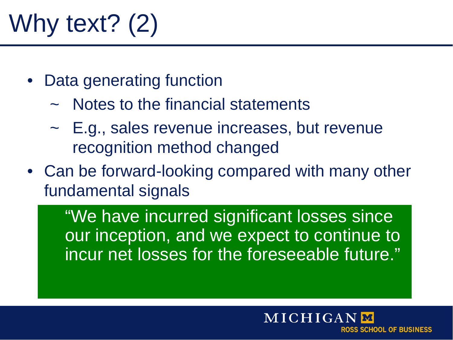# Why text? (2)

- Data generating function
	- ~ Notes to the financial statements
	- ~ E.g., sales revenue increases, but revenue recognition method changed
- Can be forward-looking compared with many other fundamental signals

"We have incurred significant losses since our inception, and we expect to continue to incur net losses for the foreseeable future."

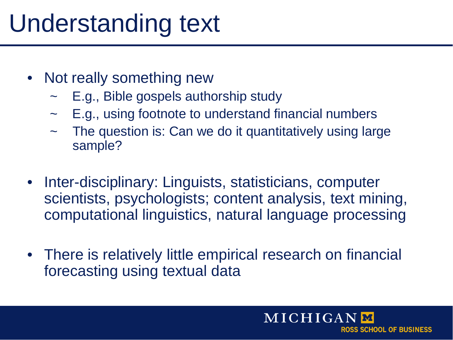### Understanding text

- Not really something new
	- ~ E.g., Bible gospels authorship study
	- ~ E.g., using footnote to understand financial numbers
	- The question is: Can we do it quantitatively using large sample?
- Inter-disciplinary: Linguists, statisticians, computer scientists, psychologists; content analysis, text mining, computational linguistics, natural language processing
- There is relatively little empirical research on financial forecasting using textual data

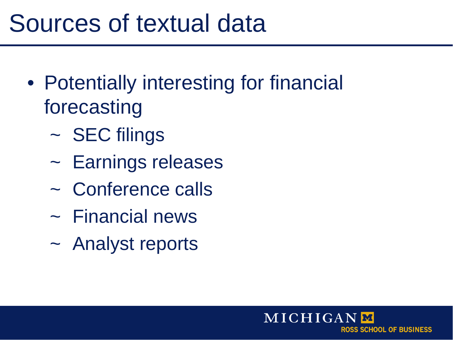#### Sources of textual data

- Potentially interesting for financial forecasting
	- ~ SEC filings
	- ~ Earnings releases
	- ~ Conference calls
	- ~ Financial news
	- ~ Analyst reports

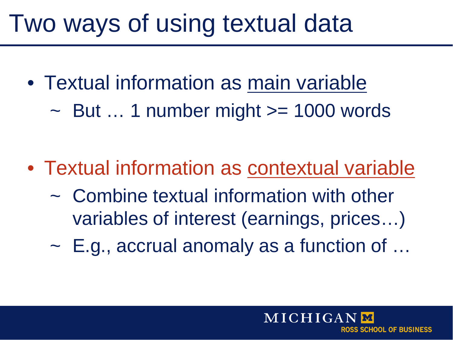#### Two ways of using textual data

- Textual information as main variable  $\sim$  But  $\ldots$  1 number might  $\epsilon$  = 1000 words
- Textual information as contextual variable
	- ~ Combine textual information with other variables of interest (earnings, prices…)
	- $\sim$  E.g., accrual anomaly as a function of ...

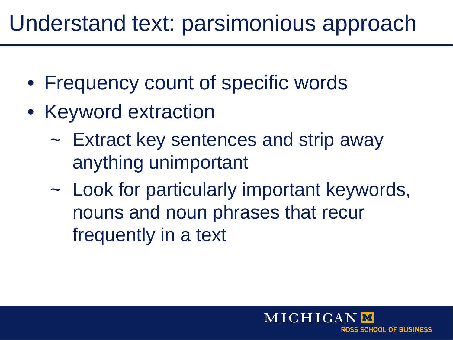#### Understand text: parsimonious approach

- Frequency count of specific words
- Keyword extraction
	- ~ Extract key sentences and strip away anything unimportant
	- ~ Look for particularly important keywords, nouns and noun phrases that recur frequently in a text

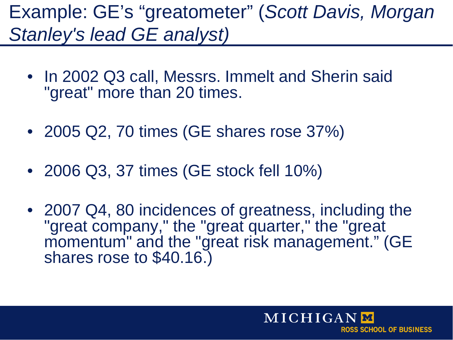Example: GE's "greatometer" (*Scott Davis, Morgan Stanley's lead GE analyst)*

- In 2002 Q3 call, Messrs. Immelt and Sherin said "great" more than 20 times.
- 2005 Q2, 70 times (GE shares rose 37%)
- 2006 Q3, 37 times (GE stock fell 10%)
- 2007 Q4, 80 incidences of greatness, including the "great company," the "great quarter," the "great momentum" and the "great risk management." (GE shares rose to \$40.16.)

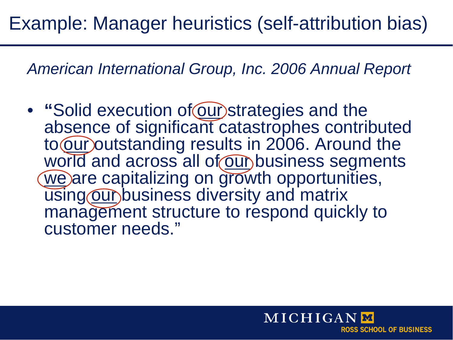*American International Group, Inc. 2006 Annual Report*

• "Solid execution of our strategies and the absence of significant catastrophes contributed to our outstanding results in 2006. Around the world and across all of our business segments we are capitalizing on growth opportunities, using our business diversity and matrix management structure to respond quickly to customer needs."

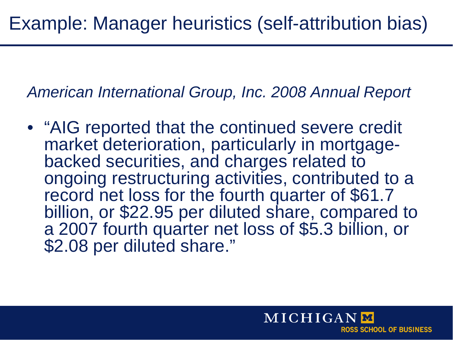*American International Group, Inc. 2008 Annual Report*

• "AIG reported that the continued severe credit market deterioration, particularly in mortgage- backed securities, and charges related to ongoing restructuring activities, contributed to a record net loss for the fourth quarter of \$61.7 billion, or \$22.95 per diluted share, compared to a 2007 fourth quarter net loss of \$5.3 billion, or \$2.08 per diluted share."

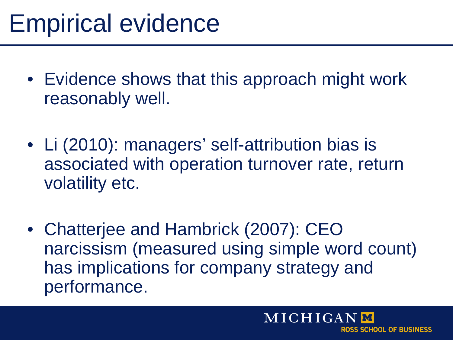### Empirical evidence

- Evidence shows that this approach might work reasonably well.
- Li (2010): managers' self-attribution bias is associated with operation turnover rate, return volatility etc.
- Chatterjee and Hambrick (2007): CEO narcissism (measured using simple word count) has implications for company strategy and performance.

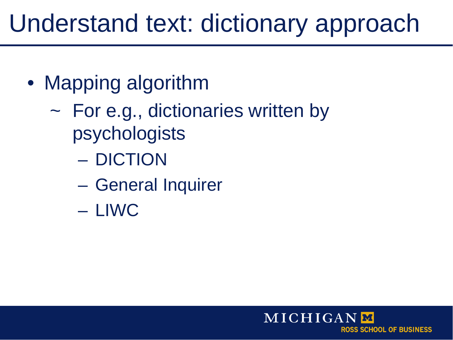### Understand text: dictionary approach

- Mapping algorithm
	- ~ For e.g., dictionaries written by psychologists
		- DICTION
		- General Inquirer
		- LIWC

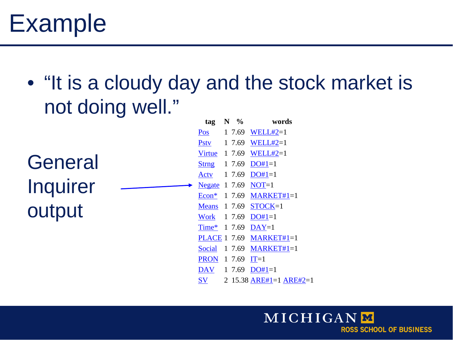#### Example

#### • "It is a cloudy day and the stock market is not doing well."

**General Inquirer** output

| tag N $\%$                      |  | <b>words</b>              |
|---------------------------------|--|---------------------------|
|                                 |  | Pos 1 7.69 WELL#2=1       |
|                                 |  | Pstv 1 7.69 WELL#2=1      |
|                                 |  | Virtue $1, 7.69$ WELL#2=1 |
|                                 |  | Strng 1 7.69 $DO#1=1$     |
| Actv 1 7.69                     |  | $DO#1=1$                  |
| Negate $1, 7.69$ NOT=1          |  |                           |
| $Econ^*$ 1 7.69                 |  | $MARKET#1=1$              |
| Means 1 7.69                    |  | $STOCK=1$                 |
| Work 1 7.69                     |  | $DO#1=1$                  |
|                                 |  | Time* $17.69$ DAY=1       |
| <b>PLACE</b> 1 7.69             |  | $MARKET#1=1$              |
|                                 |  | Social 1 7.69 MARKET#1=1  |
| <b>PRON</b> 1 7.69 <b>IT</b> =1 |  |                           |
| DAV 1 7.69                      |  | $DO#1=1$                  |
| SV                              |  | 2 15.38 ARE#1=1 ARE#2=1   |

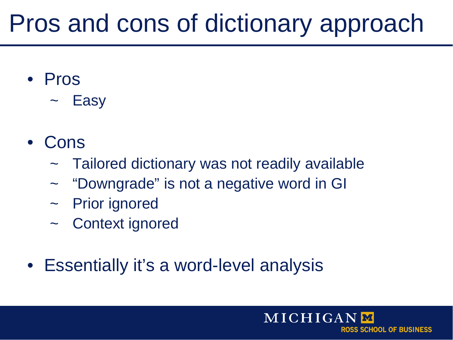### Pros and cons of dictionary approach

- Pros
	- ~ Easy
- Cons
	- ~ Tailored dictionary was not readily available
	- ~ "Downgrade" is not a negative word in GI
	- ~ Prior ignored
	- ~ Context ignored
- Essentially it's a word-level analysis

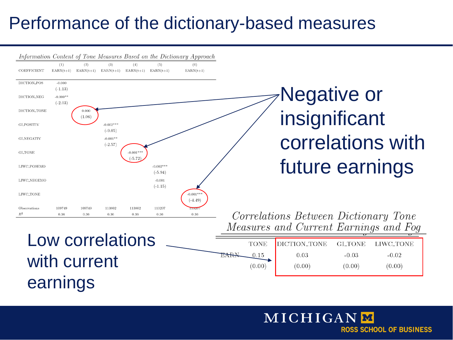#### Performance of the dictionary-based measures



#### MICHIGANM **ROSS SCHOOL OF BUSINESS**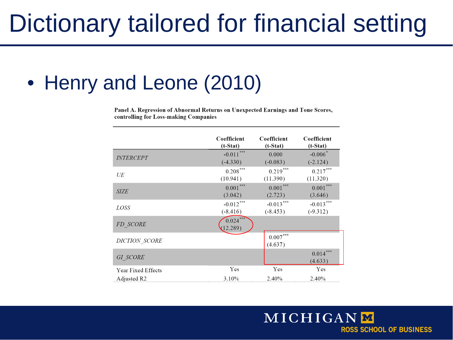## Dictionary tailored for financial setting

• Henry and Leone (2010)

|                    | Coefficient     | Coefficient           | Coefficient           |
|--------------------|-----------------|-----------------------|-----------------------|
|                    | $(t-Stat)$      | $(t-Stat)$            | $(t-Stat)$            |
| <b>INTERCEPT</b>   | $-0.011***$     | 0.000                 | $-0.006$ <sup>*</sup> |
|                    | $(-4.330)$      | $(-0.083)$            | $(-2.124)$            |
| UE                 | $0.208***$      | $0.219***$            | $0.217***$            |
|                    | (10.941)        | (11.390)              | (11.320)              |
| <b>SIZE</b>        | $0.001***$      | $0.001***$            | $0.001***$            |
|                    | (3.042)         | (2.723)               | (3.646)               |
| LOSS               | $-0.012***$     | $-0.013***$           | $-0.013***$           |
|                    | $(-8.416)$      | $(-8.453)$            | $(-9.312)$            |
| FD SCORE           | 0.024<br>2.289) |                       |                       |
| DICTION SCORE      |                 | $0.007***$<br>(4.637) |                       |
| GI SCORE           |                 |                       | $0.014***$<br>(4.633) |
| Year Fixed Effects | Yes             | Yes                   | Yes                   |
| Adjusted R2        | 3.10%           | 2.40%                 | 2.40%                 |

Panel A. Regression of Abnormal Returns on Unexpected Earnings and Tone Scores, controlling for Loss-making Companies

#### MICHIGANM **ROSS SCHOOL OF BUSINESS**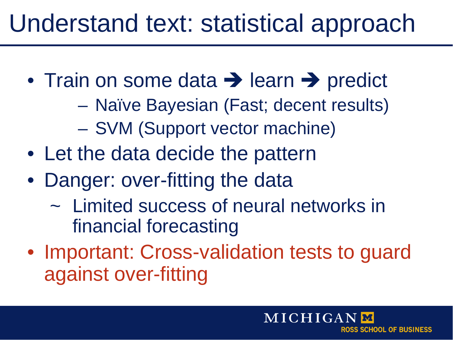### Understand text: statistical approach

- Train on some data  $\rightarrow$  learn  $\rightarrow$  predict
	- Naïve Bayesian (Fast; decent results)
	- SVM (Support vector machine)
- Let the data decide the pattern
- Danger: over-fitting the data
	- ~ Limited success of neural networks in financial forecasting
- Important: Cross-validation tests to guard against over-fitting

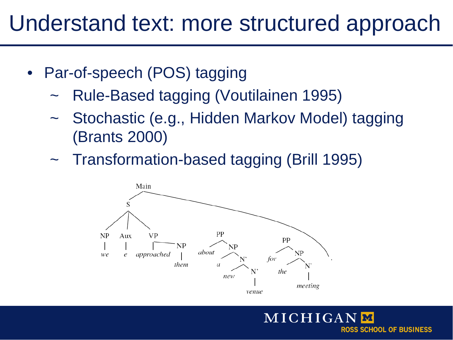#### Understand text: more structured approach

- Par-of-speech (POS) tagging
	- ~ Rule-Based tagging (Voutilainen 1995)
	- Stochastic (e.g., Hidden Markov Model) tagging (Brants 2000)
	- ~ Transformation-based tagging (Brill 1995)



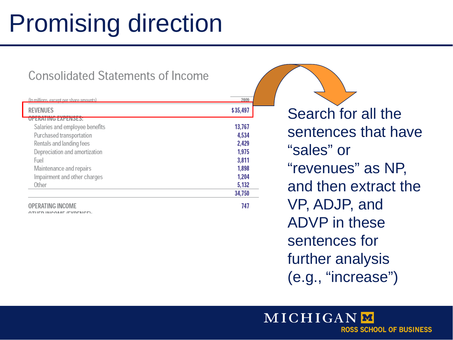## Promising direction

#### **Consolidated Statements of Income**

| (In millions, except per share amounts) | 2009     |
|-----------------------------------------|----------|
| <b>REVENUES</b>                         | \$35,497 |
| UPERAHING EXPENSES:                     |          |
| Salaries and employee benefits          | 13,767   |
| Purchased transportation                | 4,534    |
| Rentals and landing fees                | 2,429    |
| Depreciation and amortization           | 1,975    |
| Fuel                                    | 3,811    |
| Maintenance and repairs                 | 1,898    |
| Impairment and other charges            | 1,204    |
| Other                                   | 5,132    |
|                                         | 34,750   |
| <b>OPERATING INCOME</b>                 | 747      |
| <b>OTHER IMOOME /EVDEMOE\.</b>          |          |

Search for all the sentences that have "sales" or "revenues" as NP, and then extract the VP, ADJP, and ADVP in these sentences for further analysis (e.g., "increase")

MICHIGANM ROSS SCHOOL OF BUSINESS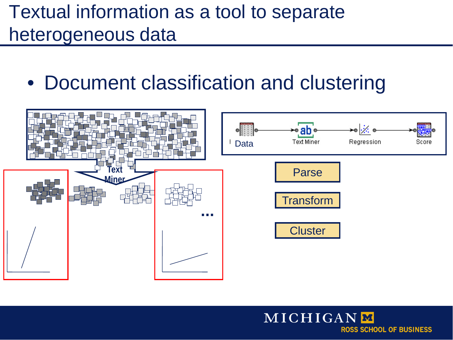#### Textual information as a tool to separate heterogeneous data

• Document classification and clustering



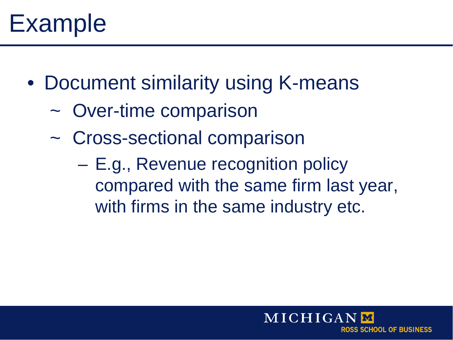### Example

- Document similarity using K-means
	- ~ Over-time comparison
	- ~ Cross-sectional comparison
		- E.g., Revenue recognition policy compared with the same firm last year, with firms in the same industry etc.